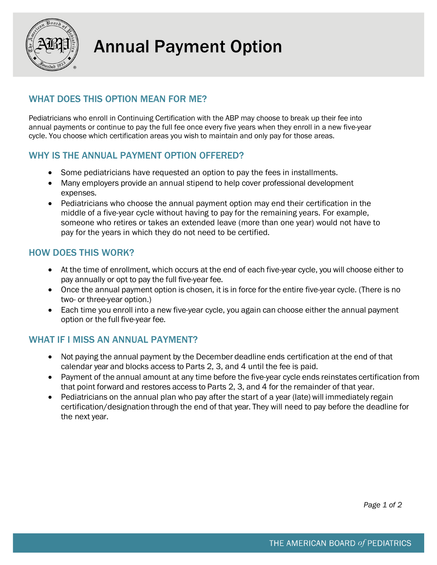

# Annual Payment Option

# WHAT DOES THIS OPTION MEAN FOR ME?

Pediatricians who enroll in Continuing Certification with the ABP may choose to break up their fee into annual payments or continue to pay the full fee once every five years when they enroll in a new five-year cycle. You choose which certification areas you wish to maintain and only pay for those areas.

## WHY IS THE ANNUAL PAYMENT OPTION OFFERED?

- Some pediatricians have requested an option to pay the fees in installments.
- Many employers provide an annual stipend to help cover professional development expenses.
- Pediatricians who choose the annual payment option may end their certification in the middle of a five-year cycle without having to pay for the remaining years. For example, someone who retires or takes an extended leave (more than one year) would not have to pay for the years in which they do not need to be certified.

## HOW DOES THIS WORK?

- At the time of enrollment, which occurs at the end of each five-year cycle, you will choose either to pay annually or opt to pay the full five-year fee.
- Once the annual payment option is chosen, it is in force for the entire five-year cycle. (There is no two- or three-year option.)
- Each time you enroll into a new five-year cycle, you again can choose either the annual payment option or the full five-year fee.

#### WHAT IF I MISS AN ANNUAL PAYMENT?

- Not paying the annual payment by the December deadline ends certification at the end of that calendar year and blocks access to Parts 2, 3, and 4 until the fee is paid.
- Payment of the annual amount at any time before the five-year cycle ends reinstates certification from that point forward and restores access to Parts 2, 3, and 4 for the remainder of that year.
- Pediatricians on the annual plan who pay after the start of a year (late) will immediately regain certification/designation through the end of that year. They will need to pay before the deadline for the next year.

*Page 1 of 2*